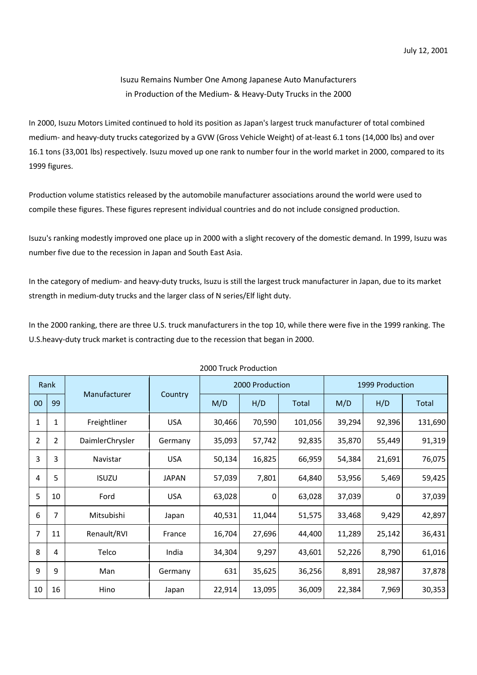## Isuzu Remains Number One Among Japanese Auto Manufacturers in Production of the Medium- & Heavy-Duty Trucks in the 2000

In 2000, Isuzu Motors Limited continued to hold its position as Japan's largest truck manufacturer of total combined medium- and heavy-duty trucks categorized by a GVW (Gross Vehicle Weight) of at-least 6.1 tons (14,000 lbs) and over 16.1 tons (33,001 lbs) respectively. Isuzu moved up one rank to number four in the world market in 2000, compared to its 1999 figures.

Production volume statistics released by the automobile manufacturer associations around the world were used to compile these figures. These figures represent individual countries and do not include consigned production.

Isuzu's ranking modestly improved one place up in 2000 with a slight recovery of the domestic demand. In 1999, Isuzu was number five due to the recession in Japan and South East Asia.

In the category of medium- and heavy-duty trucks, Isuzu is still the largest truck manufacturer in Japan, due to its market strength in medium-duty trucks and the larger class of N series/Elf light duty.

In the 2000 ranking, there are three U.S. truck manufacturers in the top 10, while there were five in the 1999 ranking. The U.S.heavy-duty truck market is contracting due to the recession that began in 2000.

| Rank           |    | Manufacturer    |              | 2000 Production |        |         | 1999 Production |        |         |
|----------------|----|-----------------|--------------|-----------------|--------|---------|-----------------|--------|---------|
| 00             | 99 |                 | Country      | M/D             | H/D    | Total   | M/D             | H/D    | Total   |
| 1              | 1  | Freightliner    | <b>USA</b>   | 30,466          | 70,590 | 101,056 | 39,294          | 92,396 | 131,690 |
| $\overline{2}$ | 2  | DaimlerChrysler | Germany      | 35,093          | 57,742 | 92,835  | 35,870          | 55,449 | 91,319  |
| 3              | 3  | Navistar        | <b>USA</b>   | 50,134          | 16,825 | 66,959  | 54,384          | 21,691 | 76,075  |
| 4              | 5  | <b>ISUZU</b>    | <b>JAPAN</b> | 57,039          | 7,801  | 64,840  | 53,956          | 5,469  | 59,425  |
| 5              | 10 | Ford            | <b>USA</b>   | 63,028          | 0      | 63,028  | 37,039          | 0      | 37,039  |
| 6              | 7  | Mitsubishi      | Japan        | 40,531          | 11,044 | 51,575  | 33,468          | 9,429  | 42,897  |
| 7              | 11 | Renault/RVI     | France       | 16,704          | 27,696 | 44,400  | 11,289          | 25,142 | 36,431  |
| 8              | 4  | Telco           | India        | 34,304          | 9,297  | 43,601  | 52,226          | 8,790  | 61,016  |
| 9              | 9  | Man             | Germany      | 631             | 35,625 | 36,256  | 8,891           | 28,987 | 37,878  |
| 10             | 16 | Hino            | Japan        | 22,914          | 13,095 | 36,009  | 22,384          | 7,969  | 30,353  |

## 2000 Truck Production